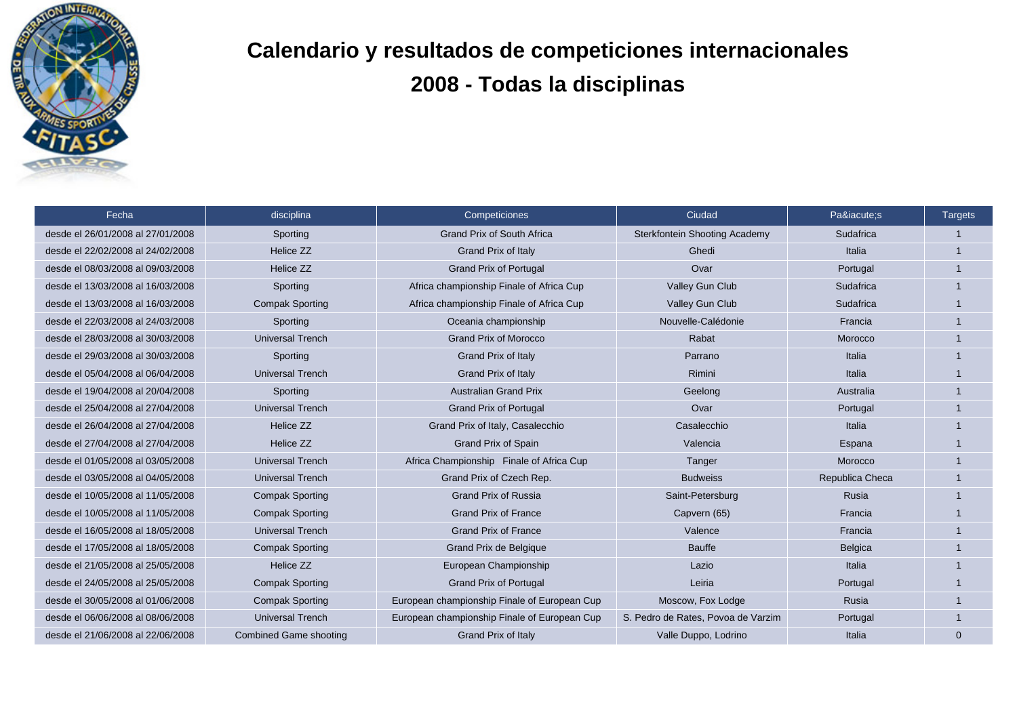

## **Calendario y resultados de competiciones internacionales 2008 - Todas la disciplinas**

| Fecha                             | disciplina                    | Competiciones                                | Ciudad                               | Paí:s           | <b>Targets</b> |
|-----------------------------------|-------------------------------|----------------------------------------------|--------------------------------------|-----------------|----------------|
| desde el 26/01/2008 al 27/01/2008 | Sporting                      | <b>Grand Prix of South Africa</b>            | <b>Sterkfontein Shooting Academy</b> | Sudafrica       |                |
| desde el 22/02/2008 al 24/02/2008 | Helice ZZ                     | <b>Grand Prix of Italy</b>                   | Ghedi                                | Italia          |                |
| desde el 08/03/2008 al 09/03/2008 | Helice ZZ                     | <b>Grand Prix of Portugal</b>                | Ovar                                 | Portugal        |                |
| desde el 13/03/2008 al 16/03/2008 | Sporting                      | Africa championship Finale of Africa Cup     | Valley Gun Club                      | Sudafrica       |                |
| desde el 13/03/2008 al 16/03/2008 | <b>Compak Sporting</b>        | Africa championship Finale of Africa Cup     | Valley Gun Club                      | Sudafrica       |                |
| desde el 22/03/2008 al 24/03/2008 | Sporting                      | Oceania championship                         | Nouvelle-Calédonie                   | Francia         |                |
| desde el 28/03/2008 al 30/03/2008 | <b>Universal Trench</b>       | <b>Grand Prix of Morocco</b>                 | Rabat                                | Morocco         |                |
| desde el 29/03/2008 al 30/03/2008 | Sporting                      | Grand Prix of Italy                          | Parrano                              | Italia          |                |
| desde el 05/04/2008 al 06/04/2008 | <b>Universal Trench</b>       | Grand Prix of Italy                          | Rimini                               | Italia          |                |
| desde el 19/04/2008 al 20/04/2008 | Sporting                      | <b>Australian Grand Prix</b>                 | Geelong                              | Australia       |                |
| desde el 25/04/2008 al 27/04/2008 | <b>Universal Trench</b>       | <b>Grand Prix of Portugal</b>                | Ovar                                 | Portugal        |                |
| desde el 26/04/2008 al 27/04/2008 | Helice ZZ                     | Grand Prix of Italy, Casalecchio             | Casalecchio                          | Italia          |                |
| desde el 27/04/2008 al 27/04/2008 | Helice ZZ                     | <b>Grand Prix of Spain</b>                   | Valencia                             | Espana          |                |
| desde el 01/05/2008 al 03/05/2008 | <b>Universal Trench</b>       | Africa Championship Finale of Africa Cup     | Tanger                               | Morocco         |                |
| desde el 03/05/2008 al 04/05/2008 | <b>Universal Trench</b>       | Grand Prix of Czech Rep.                     | <b>Budweiss</b>                      | Republica Checa |                |
| desde el 10/05/2008 al 11/05/2008 | <b>Compak Sporting</b>        | <b>Grand Prix of Russia</b>                  | Saint-Petersburg                     | Rusia           |                |
| desde el 10/05/2008 al 11/05/2008 | <b>Compak Sporting</b>        | <b>Grand Prix of France</b>                  | Capvern (65)                         | Francia         |                |
| desde el 16/05/2008 al 18/05/2008 | <b>Universal Trench</b>       | <b>Grand Prix of France</b>                  | Valence                              | Francia         |                |
| desde el 17/05/2008 al 18/05/2008 | <b>Compak Sporting</b>        | Grand Prix de Belgique                       | <b>Bauffe</b>                        | Belgica         |                |
| desde el 21/05/2008 al 25/05/2008 | Helice ZZ                     | European Championship                        | Lazio                                | Italia          |                |
| desde el 24/05/2008 al 25/05/2008 | <b>Compak Sporting</b>        | <b>Grand Prix of Portugal</b>                | Leiria                               | Portugal        |                |
| desde el 30/05/2008 al 01/06/2008 | <b>Compak Sporting</b>        | European championship Finale of European Cup | Moscow, Fox Lodge                    | Rusia           |                |
| desde el 06/06/2008 al 08/06/2008 | <b>Universal Trench</b>       | European championship Finale of European Cup | S. Pedro de Rates, Povoa de Varzim   | Portugal        |                |
| desde el 21/06/2008 al 22/06/2008 | <b>Combined Game shooting</b> | Grand Prix of Italy                          | Valle Duppo, Lodrino                 | Italia          | $\Omega$       |